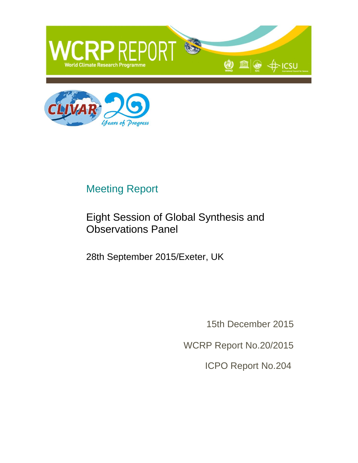



## Meeting Report

#### Eight Session of Global Synthesis and Observations Panel

28th September 2015/Exeter, UK

15th December 2015

WCRP Report No.20/2015

ICPO Report No.204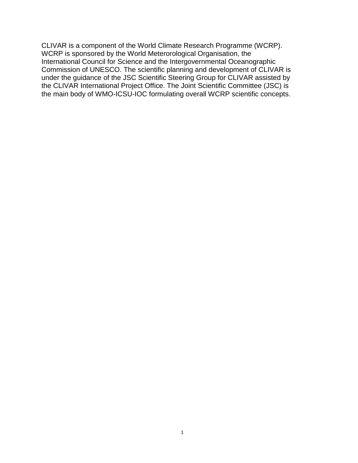CLIVAR is a component of the World Climate Research Programme (WCRP). WCRP is sponsored by the World Meterorological Organisation, the International Council for Science and the Intergovernmental Oceanographic Commission of UNESCO. The scientific planning and development of CLIVAR is under the guidance of the JSC Scientific Steering Group for CLIVAR assisted by the CLIVAR International Project Office. The Joint Scientific Committee (JSC) is the main body of WMO-ICSU-IOC formulating overall WCRP scientific concepts.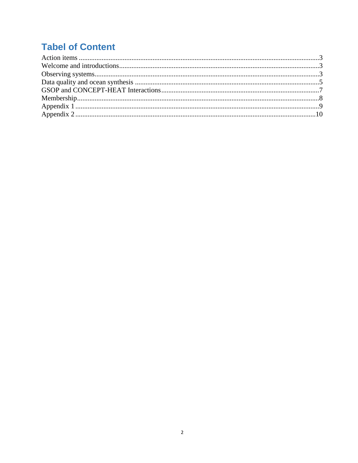### **Tabel of Content**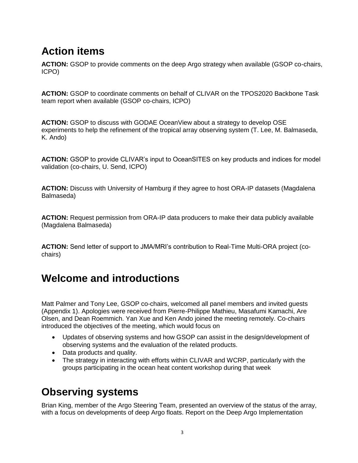# <span id="page-3-0"></span>**Action items**

**ACTION:** GSOP to provide comments on the deep Argo strategy when available (GSOP co-chairs, ICPO)

**ACTION:** GSOP to coordinate comments on behalf of CLIVAR on the TPOS2020 Backbone Task team report when available (GSOP co-chairs, ICPO)

**ACTION:** GSOP to discuss with GODAE OceanView about a strategy to develop OSE experiments to help the refinement of the tropical array observing system (T. Lee, M. Balmaseda, K. Ando)

**ACTION:** GSOP to provide CLIVAR's input to OceanSITES on key products and indices for model validation (co-chairs, U. Send, ICPO)

**ACTION:** Discuss with University of Hamburg if they agree to host ORA-IP datasets (Magdalena Balmaseda)

**ACTION:** Request permission from ORA-IP data producers to make their data publicly available (Magdalena Balmaseda)

**ACTION:** Send letter of support to JMA/MRI's contribution to Real-Time Multi-ORA project (cochairs)

#### <span id="page-3-1"></span>**Welcome and introductions**

Matt Palmer and Tony Lee, GSOP co-chairs, welcomed all panel members and invited guests (Appendix 1). Apologies were received from Pierre-Philippe Mathieu, Masafumi Kamachi, Are Olsen, and Dean Roemmich. Yan Xue and Ken Ando joined the meeting remotely. Co-chairs introduced the objectives of the meeting, which would focus on

- Updates of observing systems and how GSOP can assist in the design/development of observing systems and the evaluation of the related products.
- Data products and quality.
- The strategy in interacting with efforts within CLIVAR and WCRP, particularly with the groups participating in the ocean heat content workshop during that week

## <span id="page-3-2"></span>**Observing systems**

Brian King, member of the Argo Steering Team, presented an overview of the status of the array, with a focus on developments of deep Argo floats. Report on the Deep Argo Implementation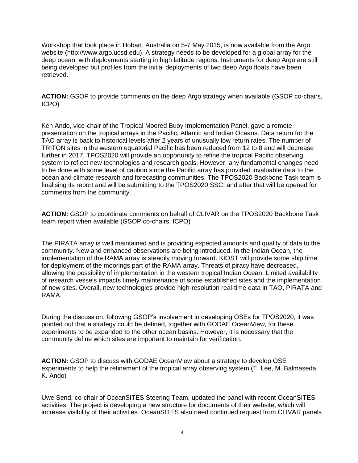Workshop that took place in Hobart, Australia on 5-7 May 2015, is now available from the Argo website (http://www.argo.ucsd.edu). A strategy needs to be developed for a global array for the deep ocean, with deployments starting in high latitude regions. Instruments for deep Argo are still being developed but profiles from the initial deployments of two deep Argo floats have been retrieved.

**ACTION:** GSOP to provide comments on the deep Argo strategy when available (GSOP co-chairs, ICPO)

Ken Ando, vice-chair of the Tropical Moored Buoy Implementation Panel, gave a remote presentation on the tropical arrays in the Pacific, Atlantic and Indian Oceans. Data return for the TAO array is back to historical levels after 2 years of unusually low return rates. The number of TRITON sites in the western equatorial Pacific has been reduced from 12 to 8 and will decrease further in 2017. TPOS2020 will provide an opportunity to refine the tropical Pacific observing system to reflect new technologies and research goals. However, any fundamental changes need to be done with some level of caution since the Pacific array has provided invaluable data to the ocean and climate research and forecasting communities. The TPOS2020 Backbone Task team is finalising its report and will be submitting to the TPOS2020 SSC, and after that will be opened for comments from the community.

**ACTION:** GSOP to coordinate comments on behalf of CLIVAR on the TPOS2020 Backbone Task team report when available (GSOP co-chairs, ICPO)

The PIRATA array is well maintained and is providing expected amounts and quality of data to the community. New and enhanced observations are being introduced. In the Indian Ocean, the implementation of the RAMA array is steadily moving forward. KIOST will provide some ship time for deployment of the moorings part of the RAMA array. Threats of piracy have decreased, allowing the possibility of implementation in the western tropical Indian Ocean. Limited availability of research vessels impacts timely maintenance of some established sites and the implementation of new sites. Overall, new technologies provide high-resolution real-time data in TAO, PIRATA and RAMA.

During the discussion, following GSOP's involvement in developing OSEs for TPOS2020, it was pointed out that a strategy could be defined, together with GODAE OceanView, for these experiments to be expanded to the other ocean basins. However, it is necessary that the community define which sites are important to maintain for verification.

**ACTION:** GSOP to discuss with GODAE OceanView about a strategy to develop OSE experiments to help the refinement of the tropical array observing system (T. Lee, M. Balmaseda, K. Ando)

Uwe Send, co-chair of OceanSITES Steering Team, updated the panel with recent OceanSITES activities. The project is developing a new structure for documents of their website, which will increase visibility of their activities. OceanSITES also need continued request from CLIVAR panels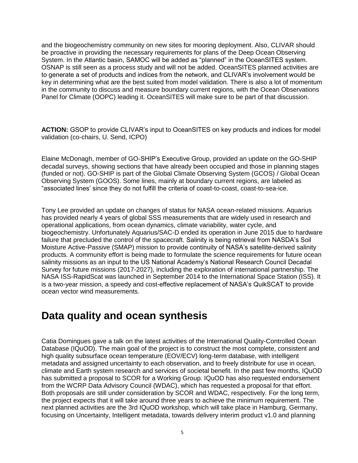and the biogeochemistry community on new sites for mooring deployment. Also, CLIVAR should be proactive in providing the necessary requirements for plans of the Deep Ocean Observing System. In the Atlantic basin, SAMOC will be added as "planned" in the OceanSITES system. OSNAP is still seen as a process study and will not be added. OceanSITES planned activities are to generate a set of products and indices from the network, and CLIVAR's involvement would be key in determining what are the best suited from model validation. There is also a lot of momentum in the community to discuss and measure boundary current regions, with the Ocean Observations Panel for Climate (OOPC) leading it. OceanSITES will make sure to be part of that discussion.

**ACTION:** GSOP to provide CLIVAR's input to OceanSITES on key products and indices for model validation (co-chairs, U. Send, ICPO)

Elaine McDonagh, member of GO-SHIP's Executive Group, provided an update on the GO-SHIP decadal surveys, showing sections that have already been occupied and those in planning stages (funded or not). GO-SHIP is part of the Global Climate Observing System (GCOS) / Global Ocean Observing System (GOOS). Some lines, mainly at boundary current regions, are labeled as "associated lines' since they do not fulfill the criteria of coast-to-coast, coast-to-sea-ice.

Tony Lee provided an update on changes of status for NASA ocean-related missions. Aquarius has provided nearly 4 years of global SSS measurements that are widely used in research and operational applications, from ocean dynamics, climate variability, water cycle, and biogeochemistry. Unfortunately Aquarius/SAC-D ended its operation in June 2015 due to hardware failure that precluded the control of the spacecraft. Salinity is being retrieval from NASDA's Soil Moisture Active-Passive (SMAP) mission to provide continuity of NASA's satellite-derived salinity products. A community effort is being made to formulate the science requirements for future ocean salinity missions as an input to the US National Academy's National Research Council Decadal Survey for future missions (2017-2027), including the exploration of international partnership. The NASA ISS-RapidScat was launched in September 2014 to the International Space Station (ISS). It is a two-year mission, a speedy and cost-effective replacement of NASA's QuikSCAT to provide ocean vector wind measurements.

#### <span id="page-5-0"></span>**Data quality and ocean synthesis**

Catia Domingues gave a talk on the latest activities of the International Quality-Controlled Ocean Database (IQuOD). The main goal of the project is to construct the most complete, consistent and high quality subsurface ocean temperature (EOV/ECV) long-term database, with intelligent metadata and assigned uncertainty to each observation, and to freely distribute for use in ocean, climate and Earth system research and services of societal benefit. In the past few months, IQuOD has submitted a proposal to SCOR for a Working Group. IQuOD has also requested endorsement from the WCRP Data Advisory Council (WDAC), which has requested a proposal for that effort. Both proposals are still under consideration by SCOR and WDAC, respectively. For the long term, the project expects that it will take around three years to achieve the minimum requirement. The next planned activities are the 3rd IQuOD workshop, which will take place in Hamburg, Germany, focusing on Uncertainty, Intelligent metadata, towards delivery interim product v1.0 and planning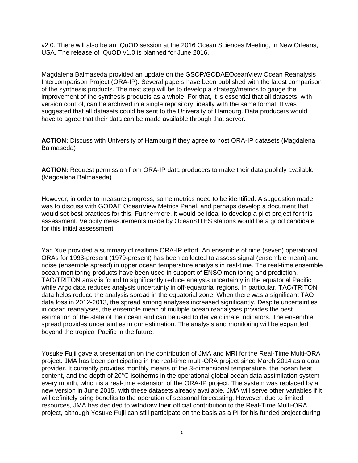v2.0. There will also be an IQuOD session at the 2016 Ocean Sciences Meeting, in New Orleans, USA. The release of IQuOD v1.0 is planned for June 2016.

Magdalena Balmaseda provided an update on the GSOP/GODAEOceanView Ocean Reanalysis Intercomparison Project (ORA-IP). Several papers have been published with the latest comparison of the synthesis products. The next step will be to develop a strategy/metrics to gauge the improvement of the synthesis products as a whole. For that, it is essential that all datasets, with version control, can be archived in a single repository, ideally with the same format. It was suggested that all datasets could be sent to the University of Hamburg. Data producers would have to agree that their data can be made available through that server.

**ACTION:** Discuss with University of Hamburg if they agree to host ORA-IP datasets (Magdalena Balmaseda)

**ACTION:** Request permission from ORA-IP data producers to make their data publicly available (Magdalena Balmaseda)

However, in order to measure progress, some metrics need to be identified. A suggestion made was to discuss with GODAE OceanView Metrics Panel, and perhaps develop a document that would set best practices for this. Furthermore, it would be ideal to develop a pilot project for this assessment. Velocity measurements made by OceanSITES stations would be a good candidate for this initial assessment.

Yan Xue provided a summary of realtime ORA-IP effort. An ensemble of nine (seven) operational ORAs for 1993-present (1979-present) has been collected to assess signal (ensemble mean) and noise (ensemble spread) in upper ocean temperature analysis in real-time. The real-time ensemble ocean monitoring products have been used in support of ENSO monitoring and prediction. TAO/TRITON array is found to significantly reduce analysis uncertainty in the equatorial Pacific while Argo data reduces analysis uncertainty in off-equatorial regions. In particular, TAO/TRITON data helps reduce the analysis spread in the equatorial zone. When there was a significant TAO data loss in 2012-2013, the spread among analyses increased significantly. Despite uncertainties in ocean reanalyses, the ensemble mean of multiple ocean reanalyses provides the best estimation of the state of the ocean and can be used to derive climate indicators. The ensemble spread provides uncertainties in our estimation. The analysis and monitoring will be expanded beyond the tropical Pacific in the future.

Yosuke Fujii gave a presentation on the contribution of JMA and MRI for the Real-Time Multi-ORA project. JMA has been participating in the real-time multi-ORA project since March 2014 as a data provider. It currently provides monthly means of the 3-dimensional temperature, the ocean heat content, and the depth of 20°C isotherms in the operational global ocean data assimilation system every month, which is a real-time extension of the ORA-IP project. The system was replaced by a new version in June 2015, with these datasets already available. JMA will serve other variables if it will definitely bring benefits to the operation of seasonal forecasting. However, due to limited resources, JMA has decided to withdraw their official contribution to the Real-Time Multi-ORA project, although Yosuke Fujii can still participate on the basis as a PI for his funded project during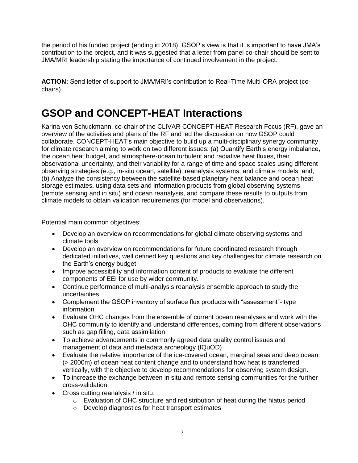the period of his funded project (ending in 2018). GSOP's view is that it is important to have JMA's contribution to the project, and it was suggested that a letter from panel co-chair should be sent to JMA/MRI leadership stating the importance of continued involvement in the project.

**ACTION:** Send letter of support to JMA/MRI's contribution to Real-Time Multi-ORA project (cochairs)

### <span id="page-7-0"></span>**GSOP and CONCEPT-HEAT Interactions**

Karina von Schuckmann, co-chair of the CLIVAR CONCEPT-HEAT Research Focus (RF), gave an overview of the activities and plans of the RF and led the discussion on how GSOP could collaborate. CONCEPT-HEAT's main objective to build up a multi-disciplinary synergy community for climate research aiming to work on two different issues: (a) Quantify Earth's energy imbalance, the ocean heat budget, and atmosphere-ocean turbulent and radiative heat fluxes, their observational uncertainty, and their variability for a range of time and space scales using different observing strategies (e.g., in-situ ocean, satellite), reanalysis systems, and climate models; and, (b) Analyze the consistency between the satellite-based planetary heat balance and ocean heat storage estimates, using data sets and information products from global observing systems (remote sensing and in situ) and ocean reanalysis, and compare these results to outputs from climate models to obtain validation requirements (for model and observations).

Potential main common objectives:

- Develop an overview on recommendations for global climate observing systems and climate tools
- Develop an overview on recommendations for future coordinated research through dedicated initiatives, well defined key questions and key challenges for climate research on the Earth's energy budget
- Improve accessibility and information content of products to evaluate the different components of EEI for use by wider community.
- Continue performance of multi-analysis reanalysis ensemble approach to study the uncertainties
- Complement the GSOP inventory of surface flux products with "assessment"- type information
- Evaluate OHC changes from the ensemble of current ocean reanalyses and work with the OHC community to identify and understand differences, coming from different observations such as gap filling, data assimilation
- To achieve advancements in commonly agreed data quality control issues and management of data and metadata archeology (IQuOD)
- Evaluate the relative importance of the ice-covered ocean, marginal seas and deep ocean (> 2000m) of ocean heat content change and to understand how heat is transferred vertically, with the objective to develop recommendations for observing system design.
- To increase the exchange between in situ and remote sensing communities for the further cross-validation.
- Cross cutting reanalysis / in situ:
	- $\circ$  Evaluation of OHC structure and redistribution of heat during the hiatus period
	- o Develop diagnostics for heat transport estimates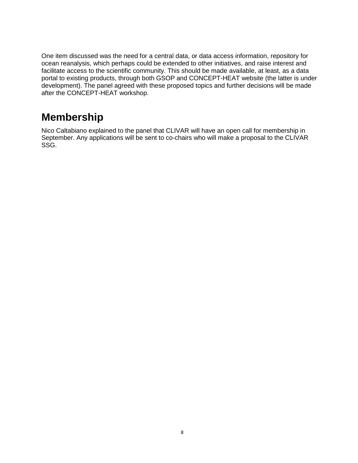One item discussed was the need for a central data, or data access information, repository for ocean reanalysis, which perhaps could be extended to other initiatives, and raise interest and facilitate access to the scientific community. This should be made available, at least, as a data portal to existing products, through both GSOP and CONCEPT-HEAT website (the latter is under development). The panel agreed with these proposed topics and further decisions will be made after the CONCEPT-HEAT workshop.

#### <span id="page-8-0"></span>**Membership**

Nico Caltabiano explained to the panel that CLIVAR will have an open call for membership in September. Any applications will be sent to co-chairs who will make a proposal to the CLIVAR SSG.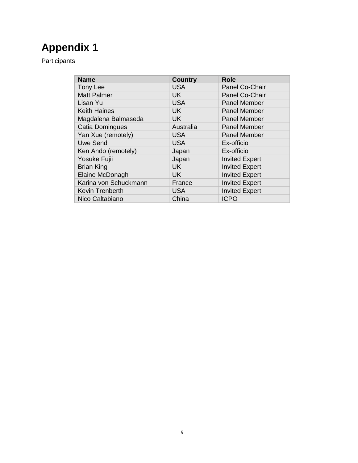# <span id="page-9-0"></span>**Appendix 1**

Participants

| <b>Name</b>           | <b>Country</b> | <b>Role</b>           |
|-----------------------|----------------|-----------------------|
| Tony Lee              | <b>USA</b>     | Panel Co-Chair        |
| <b>Matt Palmer</b>    | <b>UK</b>      | Panel Co-Chair        |
| Lisan Yu              | <b>USA</b>     | <b>Panel Member</b>   |
| <b>Keith Haines</b>   | <b>UK</b>      | <b>Panel Member</b>   |
| Magdalena Balmaseda   | <b>UK</b>      | <b>Panel Member</b>   |
| Catia Domingues       | Australia      | <b>Panel Member</b>   |
| Yan Xue (remotely)    | <b>USA</b>     | <b>Panel Member</b>   |
| <b>Uwe Send</b>       | <b>USA</b>     | Ex-officio            |
| Ken Ando (remotely)   | Japan          | Ex-officio            |
| Yosuke Fujii          | Japan          | <b>Invited Expert</b> |
| <b>Brian King</b>     | <b>UK</b>      | <b>Invited Expert</b> |
| Elaine McDonagh       | <b>UK</b>      | <b>Invited Expert</b> |
| Karina von Schuckmann | France         | <b>Invited Expert</b> |
| Kevin Trenberth       | <b>USA</b>     | <b>Invited Expert</b> |
| Nico Caltabiano       | China          | <b>ICPO</b>           |